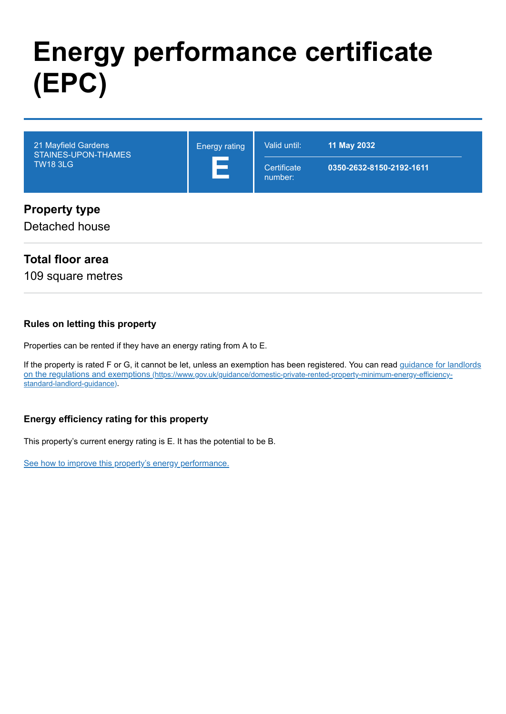# **Energy performance certificate (EPC)**



Detached house

## **Total floor area**

109 square metres

#### **Rules on letting this property**

Properties can be rented if they have an energy rating from A to E.

[If the property is rated F or G, it cannot be let, unless an exemption has been registered. You can read guidance for landlords](https://www.gov.uk/guidance/domestic-private-rented-property-minimum-energy-efficiency-standard-landlord-guidance) on the regulations and exemptions (https://www.gov.uk/guidance/domestic-private-rented-property-minimum-energy-efficiencystandard-landlord-guidance).

#### **Energy efficiency rating for this property**

This property's current energy rating is E. It has the potential to be B.

[See how to improve this property's energy performance.](#page-3-0)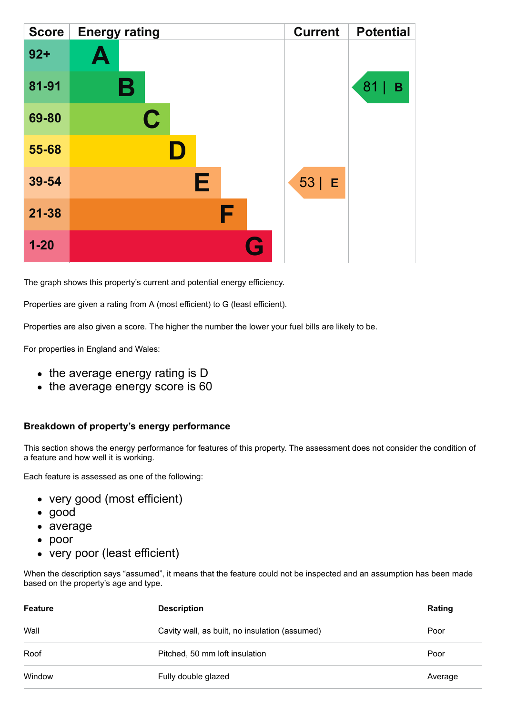| <b>Score</b> | <b>Energy rating</b> | <b>Current</b> | <b>Potential</b> |
|--------------|----------------------|----------------|------------------|
| $92 +$       | Ą                    |                |                  |
| 81-91        | В                    |                | 81<br>В          |
| 69-80        | $\mathbf C$          |                |                  |
| 55-68        |                      |                |                  |
| 39-54        | Е                    | $53$   E       |                  |
| $21 - 38$    | F                    |                |                  |
| $1 - 20$     | Q                    |                |                  |

The graph shows this property's current and potential energy efficiency.

Properties are given a rating from A (most efficient) to G (least efficient).

Properties are also given a score. The higher the number the lower your fuel bills are likely to be.

For properties in England and Wales:

- the average energy rating is D
- the average energy score is 60

#### **Breakdown of property's energy performance**

This section shows the energy performance for features of this property. The assessment does not consider the condition of a feature and how well it is working.

Each feature is assessed as one of the following:

- very good (most efficient)
- good
- average
- poor
- very poor (least efficient)

When the description says "assumed", it means that the feature could not be inspected and an assumption has been made based on the property's age and type.

| <b>Feature</b> | <b>Description</b>                             | Rating  |
|----------------|------------------------------------------------|---------|
| Wall           | Cavity wall, as built, no insulation (assumed) | Poor    |
| Roof           | Pitched, 50 mm loft insulation                 | Poor    |
| Window         | Fully double glazed                            | Average |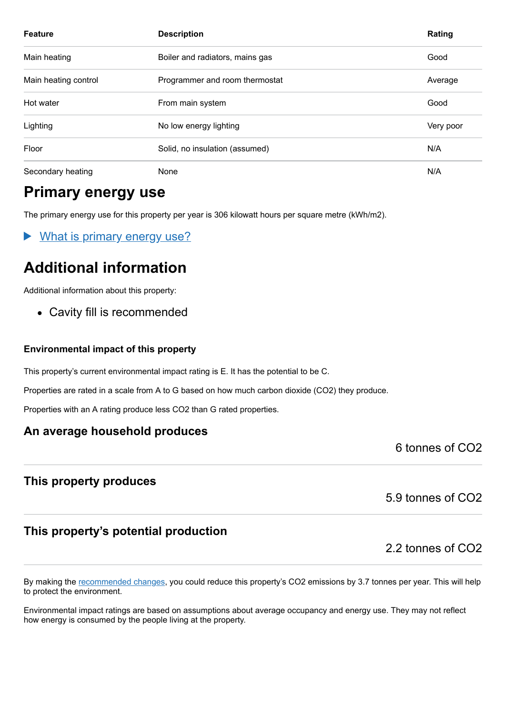| <b>Feature</b>       | <b>Description</b>              | Rating    |
|----------------------|---------------------------------|-----------|
| Main heating         | Boiler and radiators, mains gas | Good      |
| Main heating control | Programmer and room thermostat  | Average   |
| Hot water            | From main system                | Good      |
| Lighting             | No low energy lighting          | Very poor |
| Floor                | Solid, no insulation (assumed)  | N/A       |
| Secondary heating    | None                            | N/A       |

# **Primary energy use**

The primary energy use for this property per year is 306 kilowatt hours per square metre (kWh/m2).

What is primary energy use?

# **Additional information**

Additional information about this property:

Cavity fill is recommended

#### **Environmental impact of this property**

This property's current environmental impact rating is E. It has the potential to be C.

Properties are rated in a scale from A to G based on how much carbon dioxide (CO2) they produce.

Properties with an A rating produce less CO2 than G rated properties.

#### **An average household produces**

6 tonnes of CO2

#### **This property produces**

5.9 tonnes of CO2

## **This property's potential production**

2.2 tonnes of CO2

By making the [recommended changes,](#page-3-0) you could reduce this property's CO2 emissions by 3.7 tonnes per year. This will help to protect the environment.

Environmental impact ratings are based on assumptions about average occupancy and energy use. They may not reflect how energy is consumed by the people living at the property.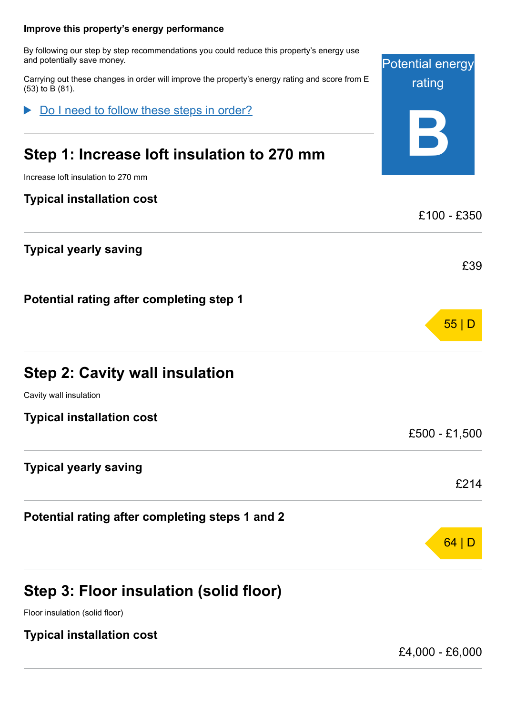<span id="page-3-0"></span>

|                                                                                                                          | 64                      |
|--------------------------------------------------------------------------------------------------------------------------|-------------------------|
| Potential rating after completing steps 1 and 2                                                                          |                         |
| <b>Typical yearly saving</b>                                                                                             | £214                    |
|                                                                                                                          | £500 - £1,500           |
| <b>Typical installation cost</b>                                                                                         |                         |
| Cavity wall insulation                                                                                                   |                         |
| <b>Step 2: Cavity wall insulation</b>                                                                                    |                         |
|                                                                                                                          | 55                      |
| Potential rating after completing step 1                                                                                 |                         |
| <b>Typical yearly saving</b>                                                                                             | £39                     |
|                                                                                                                          |                         |
| <b>Typical installation cost</b>                                                                                         | £100 - £350             |
| Increase loft insulation to 270 mm                                                                                       |                         |
| Step 1: Increase loft insulation to 270 mm                                                                               | $\vec{ }$               |
| Do I need to follow these steps in order?                                                                                |                         |
| Carrying out these changes in order will improve the property's energy rating and score from E<br>(53) to B (81).        | rating                  |
| By following our step by step recommendations you could reduce this property's energy use<br>and potentially save money. | <b>Potential energy</b> |
| Improve this property's energy performance                                                                               |                         |

**Step 3: Floor insulation (solid floor)**

Floor insulation (solid floor)

**Typical installation cost**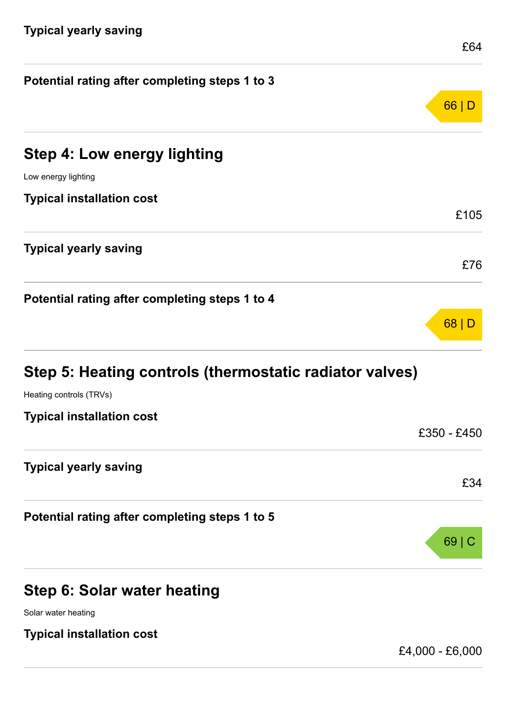| Potential rating after completing steps 1 to 3          |             |
|---------------------------------------------------------|-------------|
|                                                         | 66 D        |
| <b>Step 4: Low energy lighting</b>                      |             |
| Low energy lighting                                     |             |
| <b>Typical installation cost</b>                        |             |
|                                                         | £105        |
| <b>Typical yearly saving</b>                            | £76         |
|                                                         |             |
| Potential rating after completing steps 1 to 4          |             |
|                                                         | 68 D        |
| Step 5: Heating controls (thermostatic radiator valves) |             |
| Heating controls (TRVs)                                 |             |
| <b>Typical installation cost</b>                        |             |
|                                                         | £350 - £450 |
| <b>Typical yearly saving</b>                            |             |
|                                                         | £34         |
| Potential rating after completing steps 1 to 5          |             |
|                                                         | 69          |
| Step 6: Solar water heating                             |             |
| Solar water heating                                     |             |

**Typical installation cost**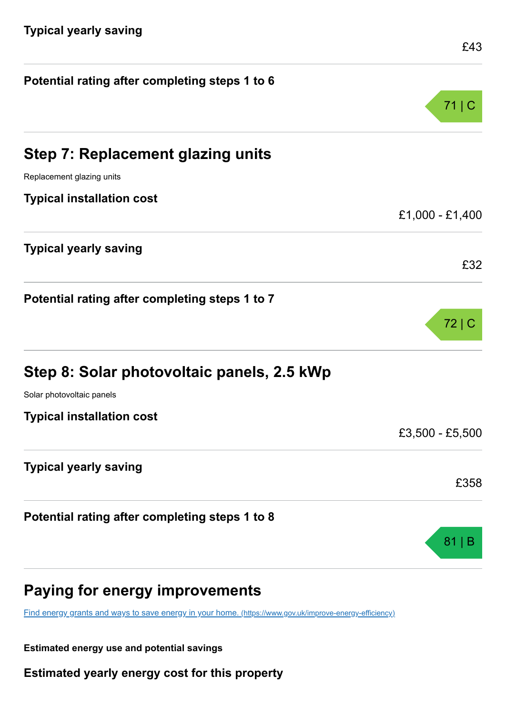| Potential rating after completing steps 1 to 6 |                 |
|------------------------------------------------|-----------------|
|                                                | 71              |
| <b>Step 7: Replacement glazing units</b>       |                 |
| Replacement glazing units                      |                 |
| <b>Typical installation cost</b>               |                 |
|                                                | £1,000 - £1,400 |
| <b>Typical yearly saving</b>                   | £32             |
| Potential rating after completing steps 1 to 7 |                 |
|                                                | 72 C            |
| Step 8: Solar photovoltaic panels, 2.5 kWp     |                 |
| Solar photovoltaic panels                      |                 |
| <b>Typical installation cost</b>               |                 |
|                                                | £3,500 - £5,500 |
| <b>Typical yearly saving</b>                   |                 |
|                                                | £358            |
| Potential rating after completing steps 1 to 8 |                 |
|                                                | 81              |
| Paying for energy improvements                 |                 |

[Find energy grants and ways to save energy in your home.](https://www.gov.uk/improve-energy-efficiency) (https://www.gov.uk/improve-energy-efficiency)

**Estimated energy use and potential savings**

**Estimated yearly energy cost for this property**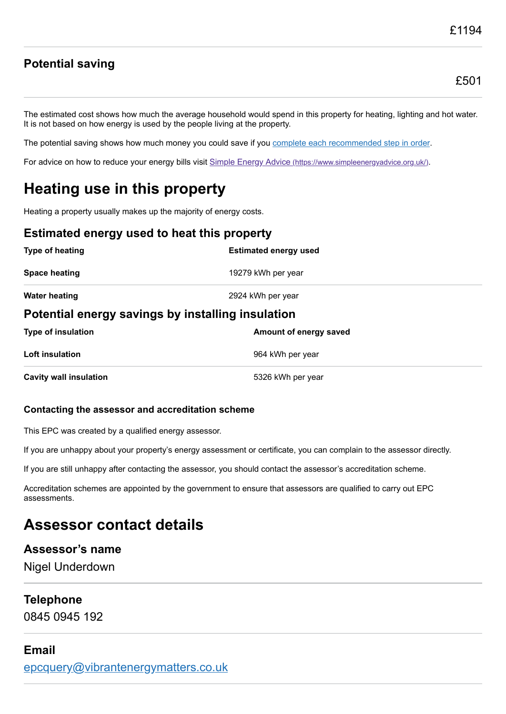# **Potential saving**

The estimated cost shows how much the average household would spend in this property for heating, lighting and hot water. It is not based on how energy is used by the people living at the property.

The potential saving shows how much money you could save if you [complete each recommended step in order](#page-3-0).

For advice on how to reduce your energy bills visit Simple Energy Advice [\(https://www.simpleenergyadvice.org.uk/\)](https://www.simpleenergyadvice.org.uk/).

# **Heating use in this property**

Heating a property usually makes up the majority of energy costs.

#### **Estimated energy used to heat this property**

| Type of heating                                   | <b>Estimated energy used</b> |  |
|---------------------------------------------------|------------------------------|--|
| <b>Space heating</b>                              | 19279 kWh per year           |  |
| <b>Water heating</b>                              | 2924 kWh per year            |  |
| Potential energy savings by installing insulation |                              |  |
| <b>Type of insulation</b>                         | Amount of energy saved       |  |
| Loft insulation                                   | 964 kWh per year             |  |
| <b>Cavity wall insulation</b>                     | 5326 kWh per year            |  |

#### **Contacting the assessor and accreditation scheme**

This EPC was created by a qualified energy assessor.

If you are unhappy about your property's energy assessment or certificate, you can complain to the assessor directly.

If you are still unhappy after contacting the assessor, you should contact the assessor's accreditation scheme.

Accreditation schemes are appointed by the government to ensure that assessors are qualified to carry out EPC assessments.

# **Assessor contact details**

#### **Assessor's name**

Nigel Underdown

#### **Telephone**

0845 0945 192

# **Email**

[epcquery@vibrantenergymatters.co.uk](mailto:epcquery@vibrantenergymatters.co.uk)